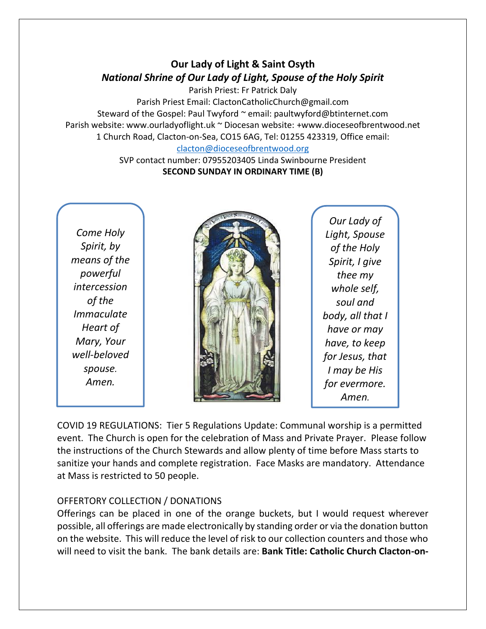# **Our Lady of Light & Saint Osyth** *National Shrine of Our Lady of Light, Spouse of the Holy Spirit*

Parish Priest: Fr Patrick Daly

Parish Priest Email: ClactonCatholicChurch@gmail.com Steward of the Gospel: Paul Twyford ~ email: paultwyford@btinternet.com Parish website: www.ourladyoflight.uk ~ Diocesan website: +www.dioceseofbrentwood.net 1 Church Road, Clacton-on-Sea, CO15 6AG, Tel: 01255 423319, Office email:

[clacton@dioceseofbrentwood.org](mailto:clacton@dioceseofbrentwood.org) SVP contact number: 07955203405 Linda Swinbourne President

### **SECOND SUNDAY IN ORDINARY TIME (B)**

*Come Holy Spirit, by means of the powerful intercession of the Immaculate Heart of Mary, Your well-beloved spouse. Amen.*



*Our Lady of Light, Spouse of the Holy Spirit, I give thee my whole self, soul and body, all that I have or may have, to keep for Jesus, that I may be His for evermore. Amen.*

COVID 19 REGULATIONS: Tier 5 Regulations Update: Communal worship is a permitted event. The Church is open for the celebration of Mass and Private Prayer. Please follow the instructions of the Church Stewards and allow plenty of time before Mass starts to sanitize your hands and complete registration. Face Masks are mandatory. Attendance at Mass is restricted to 50 people.

# OFFERTORY COLLECTION / DONATIONS

Offerings can be placed in one of the orange buckets, but I would request wherever possible, all offerings are made electronically by standing order or via the donation button on the website. This will reduce the level of risk to our collection counters and those who will need to visit the bank. The bank details are: **Bank Title: Catholic Church Clacton-on-**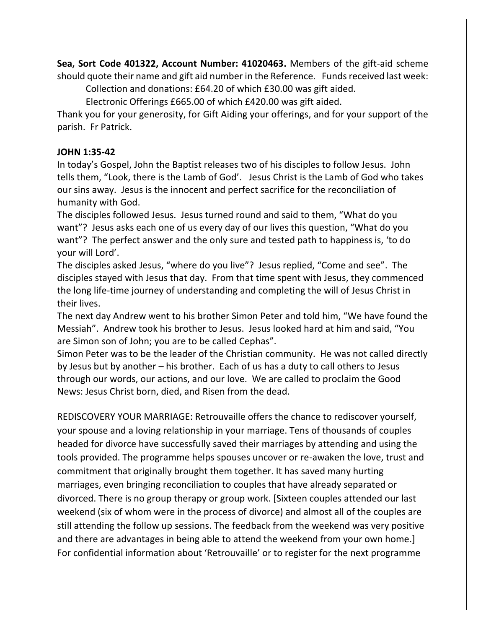**Sea, Sort Code 401322, Account Number: 41020463.** Members of the gift-aid scheme should quote their name and gift aid number in the Reference. Funds received last week:

Collection and donations: £64.20 of which £30.00 was gift aided.

Electronic Offerings £665.00 of which £420.00 was gift aided.

Thank you for your generosity, for Gift Aiding your offerings, and for your support of the parish. Fr Patrick.

## **JOHN 1:35-42**

In today's Gospel, John the Baptist releases two of his disciples to follow Jesus. John tells them, "Look, there is the Lamb of God'. Jesus Christ is the Lamb of God who takes our sins away. Jesus is the innocent and perfect sacrifice for the reconciliation of humanity with God.

The disciples followed Jesus. Jesus turned round and said to them, "What do you want"? Jesus asks each one of us every day of our lives this question, "What do you want"? The perfect answer and the only sure and tested path to happiness is, 'to do your will Lord'.

The disciples asked Jesus, "where do you live"? Jesus replied, "Come and see". The disciples stayed with Jesus that day. From that time spent with Jesus, they commenced the long life-time journey of understanding and completing the will of Jesus Christ in their lives.

The next day Andrew went to his brother Simon Peter and told him, "We have found the Messiah". Andrew took his brother to Jesus. Jesus looked hard at him and said, "You are Simon son of John; you are to be called Cephas".

Simon Peter was to be the leader of the Christian community. He was not called directly by Jesus but by another – his brother. Each of us has a duty to call others to Jesus through our words, our actions, and our love. We are called to proclaim the Good News: Jesus Christ born, died, and Risen from the dead.

REDISCOVERY YOUR MARRIAGE: Retrouvaille offers the chance to rediscover yourself, your spouse and a loving relationship in your marriage. Tens of thousands of couples headed for divorce have successfully saved their marriages by attending and using the tools provided. The programme helps spouses uncover or re-awaken the love, trust and commitment that originally brought them together. It has saved many hurting marriages, even bringing reconciliation to couples that have already separated or divorced. There is no group therapy or group work. [Sixteen couples attended our last weekend (six of whom were in the process of divorce) and almost all of the couples are still attending the follow up sessions. The feedback from the weekend was very positive and there are advantages in being able to attend the weekend from your own home.] For confidential information about 'Retrouvaille' or to register for the next programme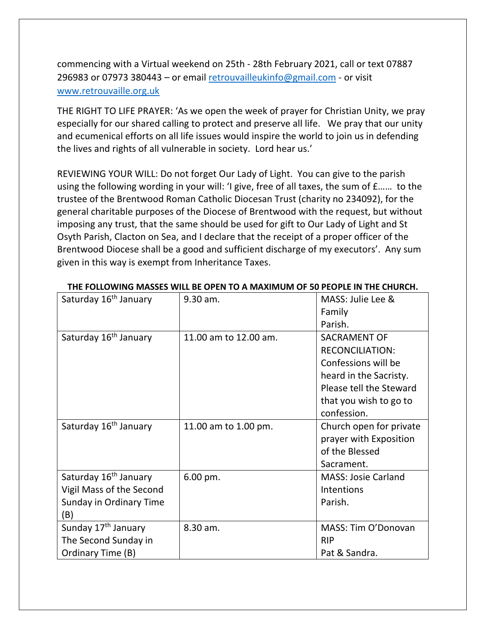commencing with a Virtual weekend on 25th - 28th February 2021, call or text 07887 296983 or 07973 380443 – or email [retrouvailleukinfo@gmail.com](mailto:retrouvailleukinfo@gmail.com) - or visit [www.retrouvaille.org.uk](http://www.retrouvaille.org.uk/)

THE RIGHT TO LIFE PRAYER: 'As we open the week of prayer for Christian Unity, we pray especially for our shared calling to protect and preserve all life. We pray that our unity and ecumenical efforts on all life issues would inspire the world to join us in defending the lives and rights of all vulnerable in society. Lord hear us.'

REVIEWING YOUR WILL: Do not forget Our Lady of Light. You can give to the parish using the following wording in your will: 'I give, free of all taxes, the sum of £…… to the trustee of the Brentwood Roman Catholic Diocesan Trust (charity no 234092), for the general charitable purposes of the Diocese of Brentwood with the request, but without imposing any trust, that the same should be used for gift to Our Lady of Light and St Osyth Parish, Clacton on Sea, and I declare that the receipt of a proper officer of the Brentwood Diocese shall be a good and sufficient discharge of my executors'. Any sum given in this way is exempt from Inheritance Taxes.

| Saturday 16 <sup>th</sup> January | 9.30 am.               | MASS: Julie Lee &          |
|-----------------------------------|------------------------|----------------------------|
|                                   |                        | Family                     |
|                                   |                        | Parish.                    |
| Saturday 16 <sup>th</sup> January | 11.00 am to 12.00 am.  | <b>SACRAMENT OF</b>        |
|                                   |                        | <b>RECONCILIATION:</b>     |
|                                   |                        | Confessions will be        |
|                                   |                        | heard in the Sacristy.     |
|                                   |                        | Please tell the Steward    |
|                                   |                        | that you wish to go to     |
|                                   |                        | confession.                |
| Saturday 16 <sup>th</sup> January | 11.00 am to 1.00 pm.   | Church open for private    |
|                                   |                        | prayer with Exposition     |
|                                   |                        | of the Blessed             |
|                                   |                        | Sacrament.                 |
| Saturday 16 <sup>th</sup> January | $6.00 \,\mathrm{pm}$ . | <b>MASS: Josie Carland</b> |
| Vigil Mass of the Second          |                        | Intentions                 |
| Sunday in Ordinary Time           |                        | Parish.                    |
| (B)                               |                        |                            |
| Sunday 17 <sup>th</sup> January   | 8.30 am.               | MASS: Tim O'Donovan        |
| The Second Sunday in              |                        | <b>RIP</b>                 |
| Ordinary Time (B)                 |                        | Pat & Sandra.              |

#### **THE FOLLOWING MASSES WILL BE OPEN TO A MAXIMUM OF 50 PEOPLE IN THE CHURCH.**